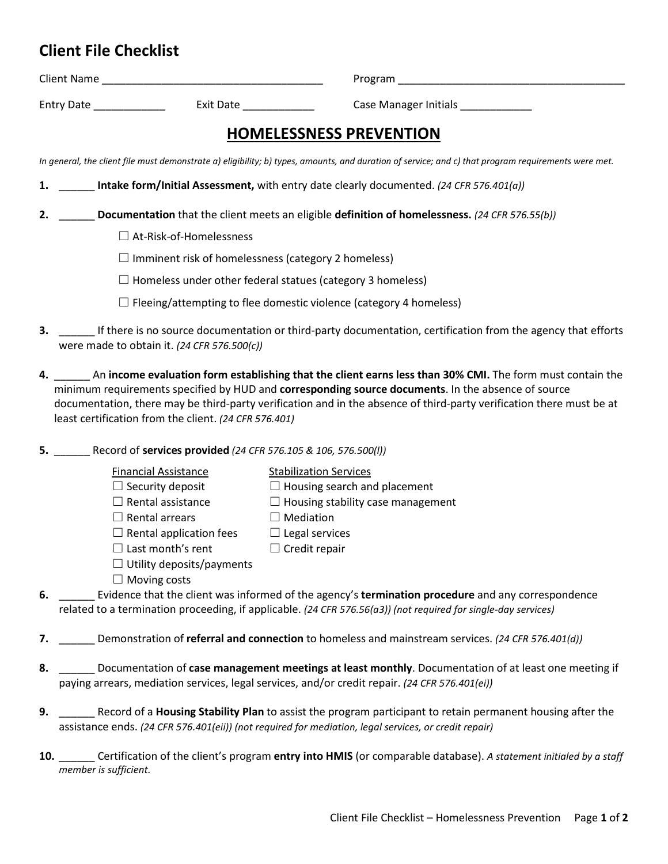| Entry Date<br>Exit Date                                                                                                                                                                                                                                                                                                                                                                             | Case Manager Initials _____________           |
|-----------------------------------------------------------------------------------------------------------------------------------------------------------------------------------------------------------------------------------------------------------------------------------------------------------------------------------------------------------------------------------------------------|-----------------------------------------------|
| <b>HOMELESSNESS PREVENTION</b>                                                                                                                                                                                                                                                                                                                                                                      |                                               |
| In general, the client file must demonstrate a) eligibility; b) types, amounts, and duration of service; and c) that program requirements were met.                                                                                                                                                                                                                                                 |                                               |
| <b>Intake form/Initial Assessment,</b> with entry date clearly documented. (24 CFR 576.401(a))<br>1.                                                                                                                                                                                                                                                                                                |                                               |
| Documentation that the client meets an eligible definition of homelessness. (24 CFR 576.55(b))<br>2.                                                                                                                                                                                                                                                                                                |                                               |
| $\Box$ At-Risk-of-Homelessness                                                                                                                                                                                                                                                                                                                                                                      |                                               |
| $\Box$ Imminent risk of homelessness (category 2 homeless)                                                                                                                                                                                                                                                                                                                                          |                                               |
| $\Box$ Homeless under other federal statues (category 3 homeless)                                                                                                                                                                                                                                                                                                                                   |                                               |
| $\Box$ Fleeing/attempting to flee domestic violence (category 4 homeless)                                                                                                                                                                                                                                                                                                                           |                                               |
| 3. If there is no source documentation or third-party documentation, certification from the agency that efforts<br>were made to obtain it. (24 CFR 576.500(c))                                                                                                                                                                                                                                      |                                               |
| 4. An income evaluation form establishing that the client earns less than 30% CMI. The form must contain the<br>minimum requirements specified by HUD and corresponding source documents. In the absence of source<br>documentation, there may be third-party verification and in the absence of third-party verification there must be at<br>least certification from the client. (24 CFR 576.401) |                                               |
| 5. Record of services provided (24 CFR 576.105 & 106, 576.500(I))                                                                                                                                                                                                                                                                                                                                   |                                               |
| <b>Financial Assistance</b>                                                                                                                                                                                                                                                                                                                                                                         | <b>Stabilization Services</b>                 |
| $\Box$ Security deposit                                                                                                                                                                                                                                                                                                                                                                             | $\Box$ Housing search and placement           |
| $\Box$ Rental assistance                                                                                                                                                                                                                                                                                                                                                                            | $\Box$ Housing stability case management      |
| $\Box$ Rental arrears                                                                                                                                                                                                                                                                                                                                                                               | $\Box$ Mediation                              |
| $\Box$ Rental application fees<br>$\Box$ Last month's rent                                                                                                                                                                                                                                                                                                                                          | $\Box$ Legal services<br>$\Box$ Credit repair |
| $\Box$ Utility deposits/payments                                                                                                                                                                                                                                                                                                                                                                    |                                               |
| $\Box$ Moving costs                                                                                                                                                                                                                                                                                                                                                                                 |                                               |
| Evidence that the client was informed of the agency's termination procedure and any correspondence<br>6.<br>related to a termination proceeding, if applicable. (24 CFR 576.56(a3)) (not required for single-day services)                                                                                                                                                                          |                                               |
| Demonstration of referral and connection to homeless and mainstream services. (24 CFR 576.401(d))                                                                                                                                                                                                                                                                                                   |                                               |
| Documentation of case management meetings at least monthly. Documentation of at least one meeting if<br>8.<br>paying arrears, mediation services, legal services, and/or credit repair. (24 CFR 576.401(ei))                                                                                                                                                                                        |                                               |
| Record of a Housing Stability Plan to assist the program participant to retain permanent housing after the<br>9.<br>assistance ends. (24 CFR 576.401(eii)) (not required for mediation, legal services, or credit repair)                                                                                                                                                                           |                                               |
|                                                                                                                                                                                                                                                                                                                                                                                                     |                                               |

**10.** \_\_\_\_\_\_ Certification of the client's program **entry into HMIS** (or comparable database). *A statement initialed by a staff member is sufficient.*